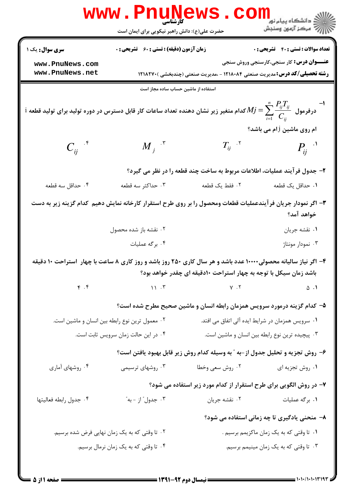|                                                                                                                                                         | <b>www.Pnunews</b><br>حضرت علی(ع): دانش راهبر نیکویی برای ایمان است |                                                                                   | د دانشگاه پيام نور¶<br>ا∛ مرکز آزمون وسنڊش         |
|---------------------------------------------------------------------------------------------------------------------------------------------------------|---------------------------------------------------------------------|-----------------------------------------------------------------------------------|----------------------------------------------------|
| <b>سری سوال :</b> یک ۱                                                                                                                                  | <b>زمان آزمون (دقیقه) : تستی : 60 ٪ تشریحی : 0</b>                  |                                                                                   | <b>تعداد سوالات : تستی : 40 قشریحی : 0</b>         |
| www.PnuNews.com<br>www.PnuNews.net                                                                                                                      |                                                                     | <b>رشته تحصیلی/کد درس:</b> مدیریت صنعتی ۱۲۱۸۰۸۴ - ،مدیریت صنعتی (چندبخشی )۱۲۱۸۲۷۰ | <b>عنـــوان درس:</b> کار سنجی،کارسنجی وروش سنجی    |
|                                                                                                                                                         | استفاده از ماشین حساب ساده مجاز است                                 |                                                                                   |                                                    |
| $i$ درفرمول $\sum\limits_{i=1}^n \dfrac{P_{ij}T_{ij}}{C_{ji}}$ کدام متغیر زیر نشان دهنده تعداد ساعات کار قابل دسترس در دوره تولید برای تولید قطعه ا $M$ |                                                                     |                                                                                   |                                                    |
| $C_{ij}$ . <sup>*</sup>                                                                                                                                 | $M_j$ <sup>x</sup>                                                  | $T_{ij}$ . $\mathbf{v}$                                                           | ام روی ماشین jام می باشد؟<br>$P_{ii}$ <sup>1</sup> |
|                                                                                                                                                         |                                                                     | ۲- جدول فرآیند عملیات، اطلاعات مربوط به ساخت چند قطعه را در نظر می گیرد؟          |                                                    |
| ۰۴ حداقل سه قطعه                                                                                                                                        | ۰۳ حداکثر سه قطعه                                                   | ٢. فقط يک قطعه                                                                    | ٠١ حداقل يک قطعه                                   |
| ۳– اگر نمودار جریان فرآیندعملیات قطعات ومحصول را بر روی طرح استقرار کارخانه نمایش دهیم کدام گزینه زیر به دست                                            |                                                                     |                                                                                   | خواهد آمد؟                                         |
|                                                                                                                                                         | ۰۲ نقشه باز شده محصول                                               |                                                                                   | ٠١ نقشه جريان                                      |
|                                                                                                                                                         | ۰۴ برگه عملیات                                                      |                                                                                   | ۰۳ نمودار مونتاژ                                   |
| ۴- اگر نیاز سالیانه محصولی۱۰۰۰۰ عدد باشد و هر سال کاری ۲۵۰ روز باشد و روز کاری ۸ ساعت با چهار ۱ستراحت ۱۰ دقیقه                                          |                                                                     | باشد زمان سیکل با توجه به چهار استراحت ۱۰دقیقه ای چقدر خواهد بود؟                 |                                                    |
| $\mathfrak{f}$ .                                                                                                                                        |                                                                     | $V \cdot Y$ $\Delta \cdot Y$                                                      |                                                    |
|                                                                                                                                                         |                                                                     | ۵– کدام گزینه درمورد سرویس همزمان رابطه انسان و ماشین صحیح مطرح شده است؟          |                                                    |
| ۰۲ معمول ترین نوع رابطه بین انسان و ماشین است.                                                                                                          |                                                                     |                                                                                   | ۰۱ سرویس همزمان در شرایط ایده آلی اتفاق می افتد.   |
| ۰۴ در این حالت زمان سرویس ثابت است.                                                                                                                     |                                                                     |                                                                                   | ۰۳ پیچیده ترین نوع رابطه بین انسان و ماشین است.    |
|                                                                                                                                                         |                                                                     | ۶- روش تجزیه و تحلیل جدول از-به ″ به وسیله کدام روش زیر قابل بهبود یافتن است؟     |                                                    |
| ۰۴ روشهای آماری                                                                                                                                         | ۰۳ روشهای ترسیمی                                                    | ۰۲ روش سعی وخطا                                                                   | ۰۱ روش تجزیه ای                                    |
|                                                                                                                                                         |                                                                     | ۷- در روش الگویی برای طرح استقرار از کدام مورد زیر استفاده می شود؟                |                                                    |
| ۰۴ جدول رابطه فعاليتها                                                                                                                                  | ۰۳ جدول ّ از - به ّ                                                 | ۲. نقشه جريان                                                                     | ٠١ برگه عمليات                                     |
|                                                                                                                                                         |                                                                     |                                                                                   | ۸– منحنی یادگیری تا چه زمانی استفاده می شود؟       |
|                                                                                                                                                         | ۲. تا وقتی که به یک زمان نهایی فرض شده برسیم.                       |                                                                                   | ۰۱ تا وقتي كه به يک زمان ماكزيمم برسيم .           |
|                                                                                                                                                         | ۰۴ تا وقتی که به یک زمان نرمال برسیم.                               |                                                                                   | ۰۳ تا وقتی که به یک زمان مینیمم برسیم.             |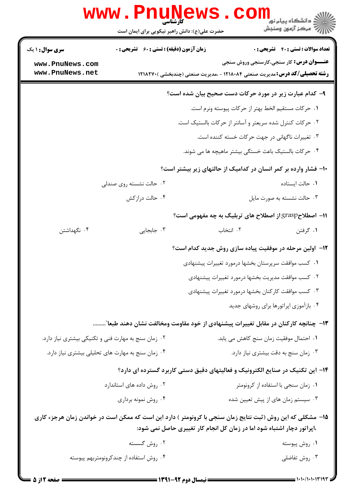| <b>WWW</b> .                                        | حضرت علی(ع): دانش راهبر نیکویی برای ایمان است | کارشناه   | ڪ دانشڪاه پيام نور<br><mark>∕</mark> 7 مرڪز آزمون وسنڊش                                                                                                                              |
|-----------------------------------------------------|-----------------------------------------------|-----------|--------------------------------------------------------------------------------------------------------------------------------------------------------------------------------------|
| <b>سری سوال : ۱ یک</b>                              | زمان آزمون (دقیقه) : تستی : 60 ٪ تشریحی : 0   |           | <b>تعداد سوالات : تستی : 40 قشریحی : 0</b>                                                                                                                                           |
| www.PnuNews.com<br>www.PnuNews.net                  |                                               |           | <b>عنـــوان درس:</b> کار سنجی،کارسنجی وروش سنجی<br><b>رشته تحصیلی/کد درس: م</b> دیریت صنعتی ۱۲۱۸۰۸۴ - ،مدیریت صنعتی (چندبخشی )۱۲۱۸۲۷۰                                                |
|                                                     |                                               |           | ۹- کدام عبارت زیر در مورد حرکات دست صحیح بیان شده است؟                                                                                                                               |
|                                                     |                                               |           | ٠١. حركات مستقيم الخط بهتر از حركات پيوسته ونرم است.                                                                                                                                 |
|                                                     |                                               |           | ۰۲ حرکات کنترل شده سریعتر و آسانتر از حرکات بالستیک است.                                                                                                                             |
|                                                     |                                               |           | ۰۳ تغییرات ناگهانی در جهت حرکات خسته کننده است.                                                                                                                                      |
|                                                     |                                               |           | ۰۴ حرکات بالستیک باعث خستگی بیشتر ماهیچه ها می شوند.                                                                                                                                 |
|                                                     |                                               |           | ۱۰- فشار وارده بر کمر انسان در کدامیک از حالتهای زیر بیشتر است؟                                                                                                                      |
|                                                     | ۰۲ حالت نشسته روی صندلی                       |           | ٠١ حالت ايستاده                                                                                                                                                                      |
|                                                     | ۰۴ حالت درازكش                                |           | ۰۳ حالت نشسته به صورت مايل                                                                                                                                                           |
|                                                     |                                               |           | 11- اصطلاح2rasp از اصطلاح های تربلیگ به چه مفهومی است؟                                                                                                                               |
| ۰۴ نگهداشتن                                         | ۰۳ جابجايى                                    | ۰۲ انتخاب | ۰۱ گرفتن                                                                                                                                                                             |
|                                                     |                                               |           | ۱۲- اولین مرحله در موفقیت پیاده سازی روش جدید کدام است؟                                                                                                                              |
|                                                     |                                               |           | ۰۱ كسب موافقت سرپرستان بخشها درمورد تغييرات پيشنهادي                                                                                                                                 |
|                                                     |                                               |           | ٠٢ كسب موافقت مديريت بخشها درمورد تغييرات پيشنهادي                                                                                                                                   |
|                                                     |                                               |           | ۰۳ کسب موافقت کارکنان بخشها درمورد تغییرات پیشنهادی                                                                                                                                  |
|                                                     |                                               |           | ۰۴ بازآموزی اپراتورها برای روشهای جدید                                                                                                                                               |
|                                                     |                                               |           | ۱۳–  چنانچه کارکنان در مقابل تغییرات پیشنهادی از خود مقاومت ومخالفت نشان دهند طبعا ؒ                                                                                                 |
| ۰۲ زمان سنج به مهارت فنی و تکنیکی بیشتری نیاز دارد. |                                               |           | ٠١ احتمال موفقيت زمان سنج كاهش مي يابد.                                                                                                                                              |
| ۰۴ زمان سنج به مهارت های تحلیلی بیشتری نیاز دارد.   |                                               |           | ۰۳ زمان سنج به دقت بیشتری نیاز دارد.                                                                                                                                                 |
|                                                     |                                               |           | ۱۴– این تکنیک در صنایع الکترونیک و فعالیتهای دقیق دستی کاربرد گسترده ای دارد؟                                                                                                        |
|                                                     | ۰۲ روش داده های استاندارد                     |           | ٠١ زمان سنجى با استفاده از كرونومتر                                                                                                                                                  |
|                                                     | ۰۴ روش نمونه برداری                           |           | ۰۳ سیستم زمان های از پیش تعیین شده                                                                                                                                                   |
|                                                     |                                               |           | ۱۵– مشکلی که این روش (ثبت نتایج زمان سنجی با کرونومتر ) دارد این است که ممکن است در خواندن زمان هرجزء کاری<br>،اپراتور دچار اشتباه شود اما در زمان کل انجام کار تغییری حاصل نمی شود: |
|                                                     | ۰۲ روش گسسته                                  |           | ۰۱ روش پیوسته                                                                                                                                                                        |
|                                                     | ۰۴ روش استفاده از چندکرونومتربهم پیوسته       |           | ۰۳ روش تفاضلی                                                                                                                                                                        |
|                                                     |                                               |           |                                                                                                                                                                                      |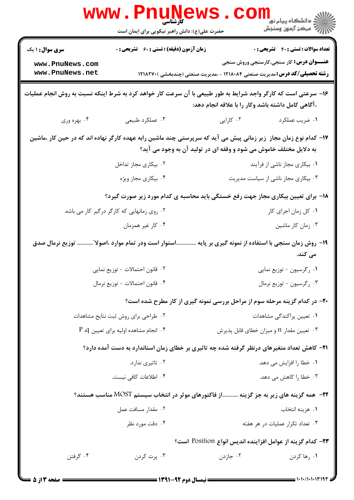|                                                                                                               | <b>www.Pnul</b><br>حضرت علی(ع): دانش راهبر نیکویی برای ایمان است                                                 |                                                                   | راد دانشگاه پيام نور <mark>−ا</mark><br>ا <mark>ر</mark> = مرکز آزمون وسنجش                                                          |
|---------------------------------------------------------------------------------------------------------------|------------------------------------------------------------------------------------------------------------------|-------------------------------------------------------------------|--------------------------------------------------------------------------------------------------------------------------------------|
| <b>سری سوال : ۱ یک</b>                                                                                        | <b>زمان آزمون (دقیقه) : تستی : 60 ٪ تشریحی : 0</b>                                                               |                                                                   | <b>تعداد سوالات : تستي : 40 - تشريحي : 0</b>                                                                                         |
| www.PnuNews.com<br>www.PnuNews.net                                                                            |                                                                                                                  |                                                                   | <b>عنـــوان درس:</b> کار سنجی،کارسنجی وروش سنجی<br><b>رشته تحصیلی/کد درس:</b> مدیریت صنعتی ۱۲۱۸۰۸۴ - ،مدیریت صنعتی (چندبخشی )۱۲۱۸۲۷۰ |
| ۱۶– سرعتی است که کارگر واجد شرایط به طور طبیعی با آن سرعت کار خواهد کرد به شرط اینکه نسبت به روش انجام عملیات |                                                                                                                  | ،آگاهی کامل داشته باشد وکار را با علاقه انجام دهد:                |                                                                                                                                      |
| ۰۴ بهره وري                                                                                                   | ۰۳ عملکرد طبیعی                                                                                                  | ۰۲ کارایی                                                         | ۰۱ ضریب عملکرد                                                                                                                       |
|                                                                                                               | ۱۷– کدام نوع زمان مجاز  زیر زمانی پیش می آید که سرپرستی چند ماشین رابه عهده کارگر نهاده اند که در حین کار ،ماشین | به دلایل مختلف خاموش می شود و وقفه ای در تولید آن به وجود می آید؟ |                                                                                                                                      |
|                                                                                                               | ۰۲ بیکاری مجاز تداخل                                                                                             |                                                                   | ۰۱ بیکاری مجاز ناشی از فرآیند                                                                                                        |
|                                                                                                               | ۰۴ بیکاری مجاز ویژه                                                                                              |                                                                   | ۰۳ بیکاری مجاز ناشی از سیاست مدیریت                                                                                                  |
|                                                                                                               | ۱۸- برای تعیین بیکاری مجاز جهت رفع خستگی باید محاسبه ی کدام مورد زیر صورت گیرد؟                                  |                                                                   |                                                                                                                                      |
|                                                                                                               | ۰۲ روی زمانهایی که کارگر درگیر کار می باشد                                                                       |                                                                   | ٠١ كل زمان اجراى كار                                                                                                                 |
|                                                                                                               | ۰۴ کار غیر همزمان                                                                                                |                                                                   | ۰۳ زمان کار ماشین                                                                                                                    |
|                                                                                                               | ۱۹- روش زمان سنجی با استفاده از نمونه گیری بر پایه استوار است ودر تمام موارد ،اصولا" توزیع نرمال صدق             |                                                                   | می کند.                                                                                                                              |
|                                                                                                               | ۰۲ قانون احتمالات – توزيع نمايي                                                                                  |                                                                   | ۰۱ رگرسیون - توزیع نمایی                                                                                                             |
|                                                                                                               | ۰۴ قانون احتمالات - توزيع نرمال                                                                                  |                                                                   | ۰۳ رگرسیون - توزیع نرمال                                                                                                             |
|                                                                                                               |                                                                                                                  |                                                                   | <b>30- در کدام گزینه مرحله سوم از مراحل بررسی نمونه گیری از کار مطرح شده است؟</b>                                                    |
|                                                                                                               | ۰۲ طراحی برای روش ثبت نتایج مشاهدات                                                                              |                                                                   | ۰۱ تعیین پراکندگی مشاهدات                                                                                                            |
|                                                                                                               | $P$ ۰۴ انجام مشاهده اولیه برای تعیین $P$ ۰۴                                                                      |                                                                   | ۰۳ تعیین مقدار n و میزان خطای قابل پذیرش                                                                                             |
|                                                                                                               | <b>۲۱</b> - کاهش تعداد متغیرهای درنظر گرفته شده چه تاثیری بر خطای زمان استاندارد به دست آمده دارد؟               |                                                                   |                                                                                                                                      |
|                                                                                                               | ۰۲ تاثیری ندارد.                                                                                                 |                                                                   | ۰۱ خطا را افزایش می دهد.                                                                                                             |
|                                                                                                               | ۰۴ اطلاعات كافي نيست.                                                                                            |                                                                   | ۰۳ خطا <sub>د</sub> ا کاهش می دهد.                                                                                                   |
|                                                                                                               | <b>۲۲</b> - همه گزینه های زیر به جز گزینه از فاکتورهای موثر در انتخاب سیستم MOST مناسب هستند؟                    |                                                                   |                                                                                                                                      |
|                                                                                                               | ۰۲ مقدار مسافت عمل                                                                                               |                                                                   | ٠١. هزينه انتخاب                                                                                                                     |
|                                                                                                               | ۰۴ دقت مورد نظر                                                                                                  |                                                                   | ۰۳ تعداد تکرار عملیات در هر هفته                                                                                                     |
|                                                                                                               |                                                                                                                  |                                                                   | ٢٣– كدام گزينه از عوامل افزاينده انديس انواع Position است؟                                                                           |
| ۰۴ گرفتن                                                                                                      | ۰۳ پرت کردن                                                                                                      | ۰۲ جازدن                                                          | ۰۱ رها کردن                                                                                                                          |
|                                                                                                               | $\equiv$ 1791-47 and 11 and 2000 $\equiv$                                                                        |                                                                   | $= 1.1.71.111198$                                                                                                                    |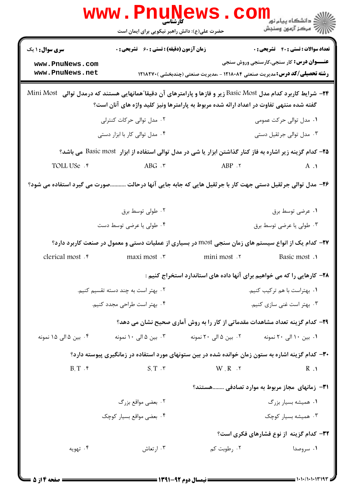|                                                                                                        | www.PnuNews.co<br>حضرت علی(ع): دانش راهبر نیکویی برای ایمان است                         |                                 | ڪ دانشڪاه پيا <sub>م</sub> نور<br>ا∛ مرڪز آزمون وسنڊش                                                                                 |
|--------------------------------------------------------------------------------------------------------|-----------------------------------------------------------------------------------------|---------------------------------|---------------------------------------------------------------------------------------------------------------------------------------|
| <b>سری سوال : ۱ یک</b>                                                                                 | <b>زمان آزمون (دقیقه) : تستی : 60 ٪ تشریحی : 0</b>                                      |                                 | <b>تعداد سوالات : تستی : 40 قشریحی : 0</b>                                                                                            |
| www.PnuNews.com<br>www.PnuNews.net                                                                     |                                                                                         |                                 | <b>عنـــوان درس:</b> کار سنجی،کارسنجی وروش سنجی<br><b>رشته تحصیلی/کد درس:</b> مدیریت صنعتی ۱۲۱۸۰۸۴ - ،مدیریت صنعتی (چندبخشی )۲۱۸۲۷۰ ۱ |
| Mini Most                                                                                              | گفته شده منتهی تفاوت در اعداد ارائه شده مربوط به پارامترها ونیز کلید واژه های آنان است؟ |                                 | ۲۴− شرایط کاربرد کدام مدل Basic Most زیر و فازها و پارامترهای آن دقیقا ّهمانهایی هستند که درمدل توالی                                 |
|                                                                                                        | ۰۲ مدل توالی حرکات کنترلی                                                               |                                 | ۰۱ مدل توالی حرکت عمومی                                                                                                               |
|                                                                                                        | ۰۴ مدل توالی کار با ابزار دستی                                                          |                                 | ۰۳ مدل توالی جرثقیل دستی                                                                                                              |
|                                                                                                        |                                                                                         |                                 | <b>۲۵</b> – کدام گزینه زیر اشاره به فاز کنار گذاشتن ابزار یا شی در مدل توالی استفاده از ابزار   Basic most می باشد؟                   |
| TOLL USe . ۴                                                                                           | ABG.                                                                                    | $ABP \cdot Y$                   | $A \cdot \mathbf{1}$                                                                                                                  |
| ۲۶- مدل توالی جرثقیل دستی جهت کار با جرثقیل هایی که جابه جایی آنها درحالت صورت می گیرد استفاده می شود؟ |                                                                                         |                                 |                                                                                                                                       |
|                                                                                                        | ۰۲ طولی توسط برق                                                                        |                                 | ۰۱ عرضی توسط برق                                                                                                                      |
|                                                                                                        | ۰۴ طولی یا عرضی توسط دست                                                                |                                 | ۰۳ طولی یا عرضی توسط برق                                                                                                              |
|                                                                                                        |                                                                                         |                                 | <b>۲۷</b> – کدام یک از انواع سیستم های زمان سنجی most در بسیاری از عملیات دستی و معمول در صنعت کاربرد دارد؟                           |
| clerical most f                                                                                        | maxi most y                                                                             | mini most . ٢                   | Basic most .                                                                                                                          |
|                                                                                                        |                                                                                         |                                 | ۲۸- کارهایی را که می خواهیم برای آنها داده های استاندارد استخراج کنیم :                                                               |
|                                                                                                        | ۰۲ بهتر است به چند دسته تقسیم کنیم.                                                     |                                 | ٠١. بهتراست با هم تركيب كنيم.                                                                                                         |
|                                                                                                        | ۰۴ بهتر است طراحی مجدد کنیم.                                                            |                                 | ۰۳ بهتر است غنی سازی کنیم.                                                                                                            |
|                                                                                                        |                                                                                         |                                 | ۲۹- کدام گزینه تعداد مشاهدات مقدماتی از کار را به روش آماری صحیح نشان می دهد؟                                                         |
| ۰۴ بین ۵ الی ۱۵ نمونه                                                                                  | ۰۳ بین ۵ الی ۱۰ نمونه                                                                   | ۰۲ بین ۵ الی ۲۰ نمونه           | ۰۱ بین ۱۰ الی ۲۰ نمونه                                                                                                                |
|                                                                                                        |                                                                                         |                                 | ۳۰– کدام گزینه اشاره به ستون زمان خوانده شده در بین ستونهای مورد استفاده در زمانگیری پیوسته دارد؟                                     |
| $B$ . T $\cdot$ f                                                                                      | $S$ . T $\cdot$ $\cdot$                                                                 | $W$ . R $\cdot$ $\cdot$ $\cdot$ | $R \cdot 1$                                                                                                                           |
|                                                                                                        |                                                                                         |                                 | <b>۳۱</b> - زمانهای مجاز مربوط به موارد تصادفی هستند؟                                                                                 |
|                                                                                                        | ۰۲ بعضی مواقع بزرگ                                                                      |                                 | ۰۱ همیشه بسیار بزرگ                                                                                                                   |
|                                                                                                        | ۰۴ بعضی مواقع بسیار کوچک                                                                |                                 | ۰۳ همیشه بسیار کوچک                                                                                                                   |
|                                                                                                        |                                                                                         |                                 | ۳۲- کدام گزینه از نوع فشارهای فکری است؟                                                                                               |
| ۰۴ تهویه                                                                                               | ۰۳ ارتعاش                                                                               | ۰۲ رطوبت کم                     | ۰۱ سروصدا                                                                                                                             |
|                                                                                                        |                                                                                         |                                 |                                                                                                                                       |